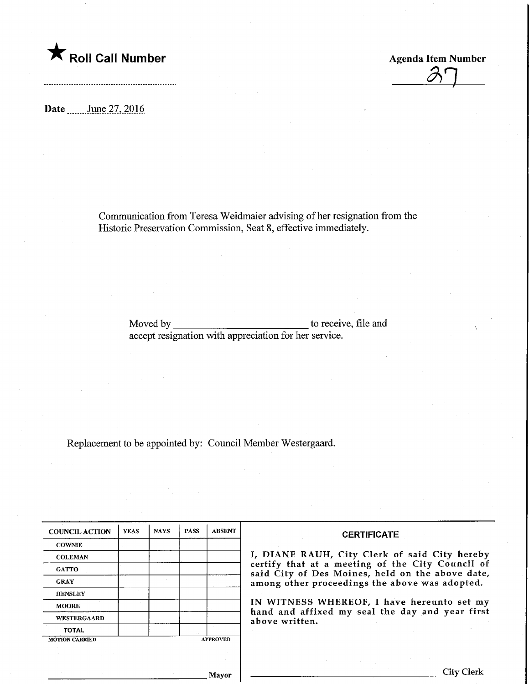

 $\frac{\partial \eta}{\partial \eta}$ 

Date *June 27, 2016* 

Communication from Teresa Weidmaier advising of her resignation from the Historic Preservation Commission, Seat 8, effective immediately.

Moved by \_ to recer accept resignation with appreciation for her service. to receive, file and

Replacement to be appointed by: Council Member Westergaard.

| <b>COUNCIL ACTION</b> | <b>YEAS</b> | <b>NAYS</b> | <b>PASS</b> | <b>ABSENT</b>   |                                                 |
|-----------------------|-------------|-------------|-------------|-----------------|-------------------------------------------------|
| <b>COWNIE</b>         |             |             |             |                 |                                                 |
| <b>COLEMAN</b>        |             |             |             |                 | I, DIANI<br>certify tl<br>said City<br>among of |
| <b>GATTO</b>          |             |             |             |                 |                                                 |
| <b>GRAY</b>           |             |             |             |                 |                                                 |
| <b>HENSLEY</b>        |             |             |             |                 |                                                 |
| <b>MOORE</b>          |             |             |             |                 | IN WITN                                         |
| WESTERGAARD           |             |             |             |                 | hand and<br>above wr                            |
| <b>TOTAL</b>          |             |             |             |                 |                                                 |
| <b>MOTION CARRIED</b> |             |             |             | <b>APPROVED</b> |                                                 |

## **CERTIFICATE**

E RAUH, City Clerk of said City hereby hat at a meeting of the City Council of of Des Moines, held on the above date, ther proceedings the above was adopted.

VESS WHEREOF, I have hereunto set my d affixed my seal the day and year first itten.

Mayor

City Clerk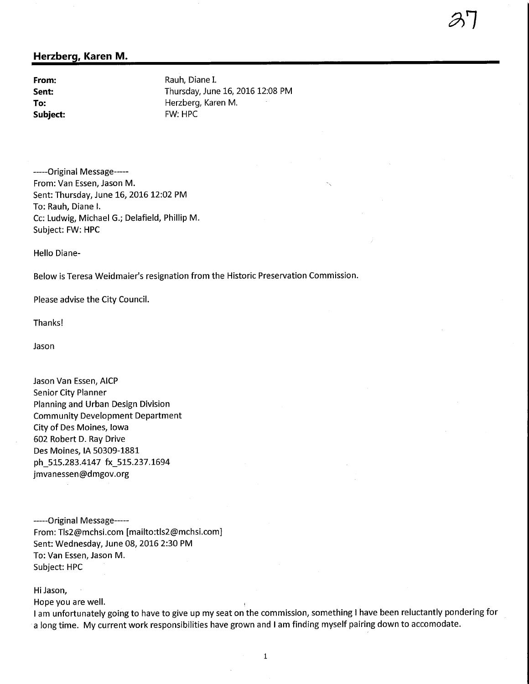## Herzberg, Karen M.

**From:** Rauh, Diane I.<br> **Sent: Rauh, Diane I.**<br> **Sent: Rauh, Diane I.** Thursday, June 16, 2016 12:08 PM To: France Herzberg, Karen M.<br>
Subject: FW: HPC FW: HPC

37

-----Original Message-----From: Van Essen, Jason M. Sent: Thursday, June 16, 2016 12:02 PM To: Rauh, Diane I. Cc: Ludwig, Michael G.; Delafield, Phillip M. Subject: FW: HPC

Hello Diane-

Below is Teresa Weidmaier's resignation from the Historic Preservation Commission.

Please advise the City Council.

Thanks!

Jason

Jason Van Essen, AICP Senior City Planner Planning and Urban Design Division Community Development Department City of Des Moines, Iowa 602 Robert D. Ray Drive Des Moines, IA 50309-1881 ph\_515.283.4147 fx\_515.237.1694 jmvanessen@dmgov.org

-----Original Message-----From: Tls2@mchsi.com [mailto:tls2@mchsi.com] Sent: Wednesday, June 08, 2016 2:30 PM To: Van Essen, Jason M. Subject: HPC

Hi Jason,

Hope you are well.

I am unfortunately going to have to give up my seat on the commission, something I have been reluctantly pondering for a long time. My current work responsibilities have grown and I am finding myself pairing down to accomodate.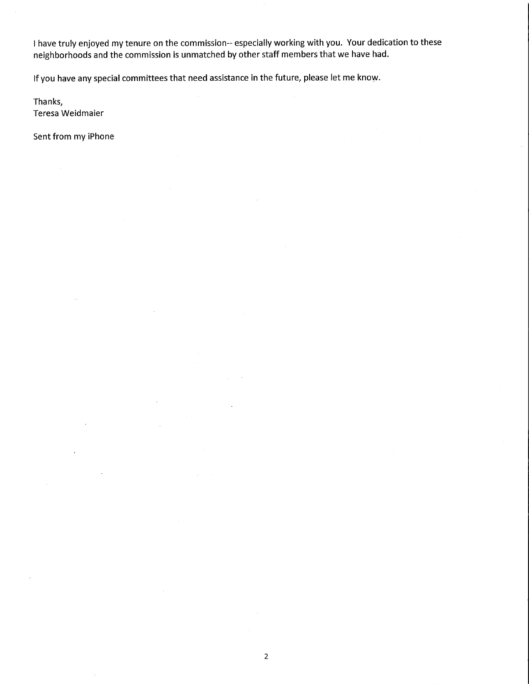I have truly enjoyed my tenure on the commission- especially working with you. Your dedication to these neighborhoods and the commission is unmatched by other staff members that we have had.

If you have any special committees that need assistance in the future, please let me know.

Thanks, Teresa Weidmaier

Sent from my iPhone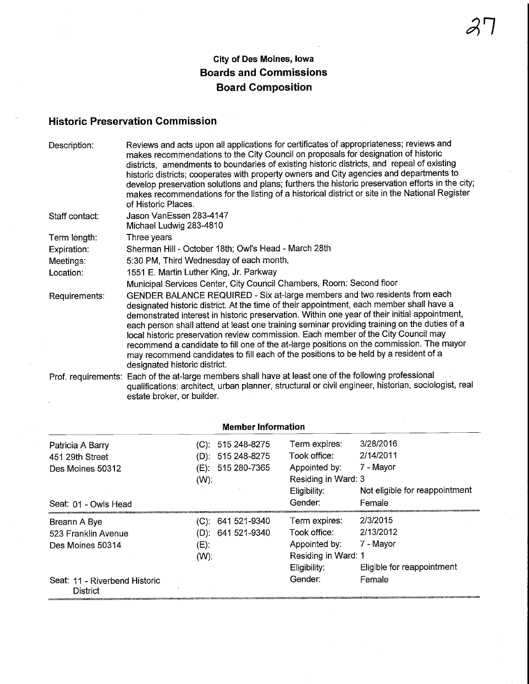## City of Des Moines, Iowa Boards and Commissions Board Composition

## Historic Preservation Commission

| Description:   | Reviews and acts upon all applications for certificates of appropriateness; reviews and<br>makes recommendations to the City Council on proposals for designation of historic<br>districts, amendments to boundaries of existing historic districts, and repeal of existing<br>historic districts; cooperates with property owners and City agencies and departments to<br>develop preservation solutions and plans; furthers the historic preservation efforts in the city;<br>makes recommendations for the listing of a historical district or site in the National Register<br>of Historic Places.                                                                             |
|----------------|------------------------------------------------------------------------------------------------------------------------------------------------------------------------------------------------------------------------------------------------------------------------------------------------------------------------------------------------------------------------------------------------------------------------------------------------------------------------------------------------------------------------------------------------------------------------------------------------------------------------------------------------------------------------------------|
| Staff contact: | Jason VanEssen 283-4147<br>Michael Ludwig 283-4810                                                                                                                                                                                                                                                                                                                                                                                                                                                                                                                                                                                                                                 |
| Term length:   | Three years                                                                                                                                                                                                                                                                                                                                                                                                                                                                                                                                                                                                                                                                        |
| Expiration:    | Sherman Hill - October 18th; Owl's Head - March 28th                                                                                                                                                                                                                                                                                                                                                                                                                                                                                                                                                                                                                               |
| Meetings:      | 5:30 PM, Third Wednesday of each month,                                                                                                                                                                                                                                                                                                                                                                                                                                                                                                                                                                                                                                            |
| Location:      | 1551 E. Martin Luther King, Jr. Parkway                                                                                                                                                                                                                                                                                                                                                                                                                                                                                                                                                                                                                                            |
|                | Municipal Services Center, City Council Chambers, Room: Second floor                                                                                                                                                                                                                                                                                                                                                                                                                                                                                                                                                                                                               |
| Requirements:  | GENDER BALANCE REQUIRED - Six at-large members and two residents from each<br>designated historic district. At the time of their appointment, each member shall have a<br>demonstrated interest in historic preservation. Within one year of their initial appointment,<br>each person shall attend at least one training seminar providing training on the duties of a<br>local historic preservation review commission. Each member of the City Council may<br>recommend a candidate to fill one of the at-large positions on the commission. The mayor<br>may recommend candidates to fill each of the positions to be held by a resident of a<br>designated historic district. |
|                | Prof. requirements: Each of the at-large members shall have at least one of the following professional<br>qualifications: architect, urban planner, structural or civil engineer, historian, sociologist, real<br>estate broker, or builder.                                                                                                                                                                                                                                                                                                                                                                                                                                       |

| <b>Member Information</b>                        |         |                      |                     |                                |
|--------------------------------------------------|---------|----------------------|---------------------|--------------------------------|
| Patricia A Barry                                 |         | $(C): 515248-8275$   | Term expires:       | 3/28/2016                      |
| 451 29th Street                                  |         | $(D)$ : 515 248-8275 | Took office:        | 2/14/2011                      |
| Des Moines 50312                                 |         | (E): 515 280-7365    | Appointed by:       | 7 - Mayor                      |
|                                                  | $(W)$ : |                      | Residing in Ward: 3 |                                |
|                                                  |         |                      | Eligibility:        | Not eligible for reappointment |
| Seat: 01 - Owls Head                             |         |                      | Gender:             | Female                         |
| Breann A Bye                                     |         | $(C)$ : 641 521-9340 | Term expires:       | 2/3/2015                       |
| 523 Franklin Avenue                              |         | (D): 641 521-9340    | Took office:        | 2/13/2012                      |
| Des Moines 50314                                 | $(E)$ : |                      | Appointed by:       | 7 - Mayor                      |
|                                                  | $(W)$ : |                      | Residing in Ward: 1 |                                |
|                                                  |         |                      | Eligibility:        | Eligible for reappointment     |
| Seat: 11 - Riverbend Historic<br><b>District</b> |         |                      | Gender:             | Female                         |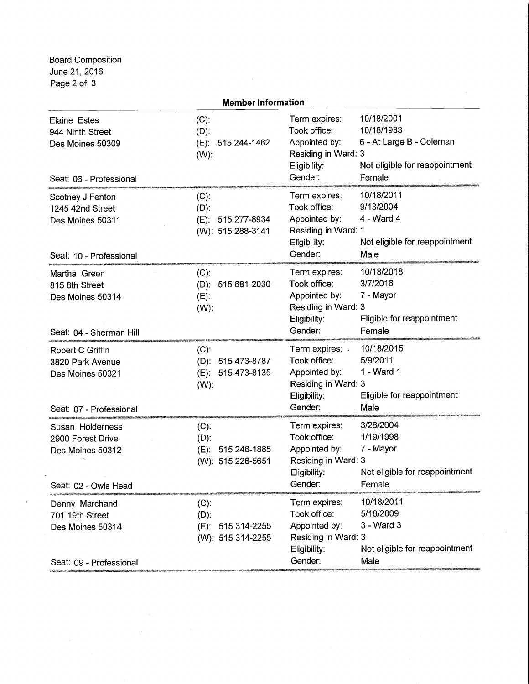Board Composition June 21, 2016 Page 2 of 3

SSCSSSSSSi^

| <b>Member Information</b>                                    |                                                                                                    |                                                                                                  |  |  |
|--------------------------------------------------------------|----------------------------------------------------------------------------------------------------|--------------------------------------------------------------------------------------------------|--|--|
| $(C)$ :<br>(D):<br>(E): 515 244-1462<br>$(W)$ :              | Term expires:<br>Took office:<br>Appointed by:<br>Residing in Ward: 3<br>Eligibility:<br>Gender:   | 10/18/2001<br>10/18/1983<br>6 - At Large B - Coleman<br>Not eligible for reappointment<br>Female |  |  |
| $(C)$ :<br>$(D)$ :<br>(E): 515 277-8934<br>(W): 515 288-3141 | Term expires:<br>Took office:<br>Appointed by:<br>Residing in Ward: 1<br>Eligibility:<br>Gender:   | 10/18/2011<br>9/13/2004<br>$4 - Ward 4$<br>Not eligible for reappointment<br>Male                |  |  |
| $(C)$ :<br>(D): 515 681-2030<br>$(E)$ :<br>$(W)$ :           | Term expires:<br>Took office:<br>Appointed by:<br>Residing in Ward: 3<br>Eligibility:<br>Gender:   | 10/18/2018<br>3/7/2016<br>7 - Mayor<br>Eligible for reappointment<br>Female                      |  |  |
| $(C)$ :<br>(D): 515 473-8787<br>(E): 515 473-8135<br>$(W)$ : | Term expires: .<br>Took office:<br>Appointed by:<br>Residing in Ward: 3<br>Eligibility:<br>Gender: | 10/18/2015<br>5/9/2011<br>1 - Ward 1<br>Eligible for reappointment<br>Male                       |  |  |
| $(C)$ :<br>$(D)$ :<br>(E): 515 246-1885<br>(W): 515 226-5651 | Term expires:<br>Took office:<br>Appointed by:<br>Residing in Ward: 3<br>Eligibility:<br>Gender: . | 3/28/2004<br>1/19/1998<br>7 - Mayor<br>Not eligible for reappointment<br>Female                  |  |  |
| $(C)$ :<br>$(D)$ :<br>(E): 515 314-2255<br>(W): 515 314-2255 | Term expires:<br>Took office:<br>Appointed by:<br>Residing in Ward: 3<br>Eligibility:<br>Gender:   | 10/18/2011<br>5/18/2009<br>3 - Ward 3<br>Not eligible for reappointment<br>Male                  |  |  |
|                                                              |                                                                                                    |                                                                                                  |  |  |

.<br>Evsteredenter for Swidtheaderen (Marine Swi